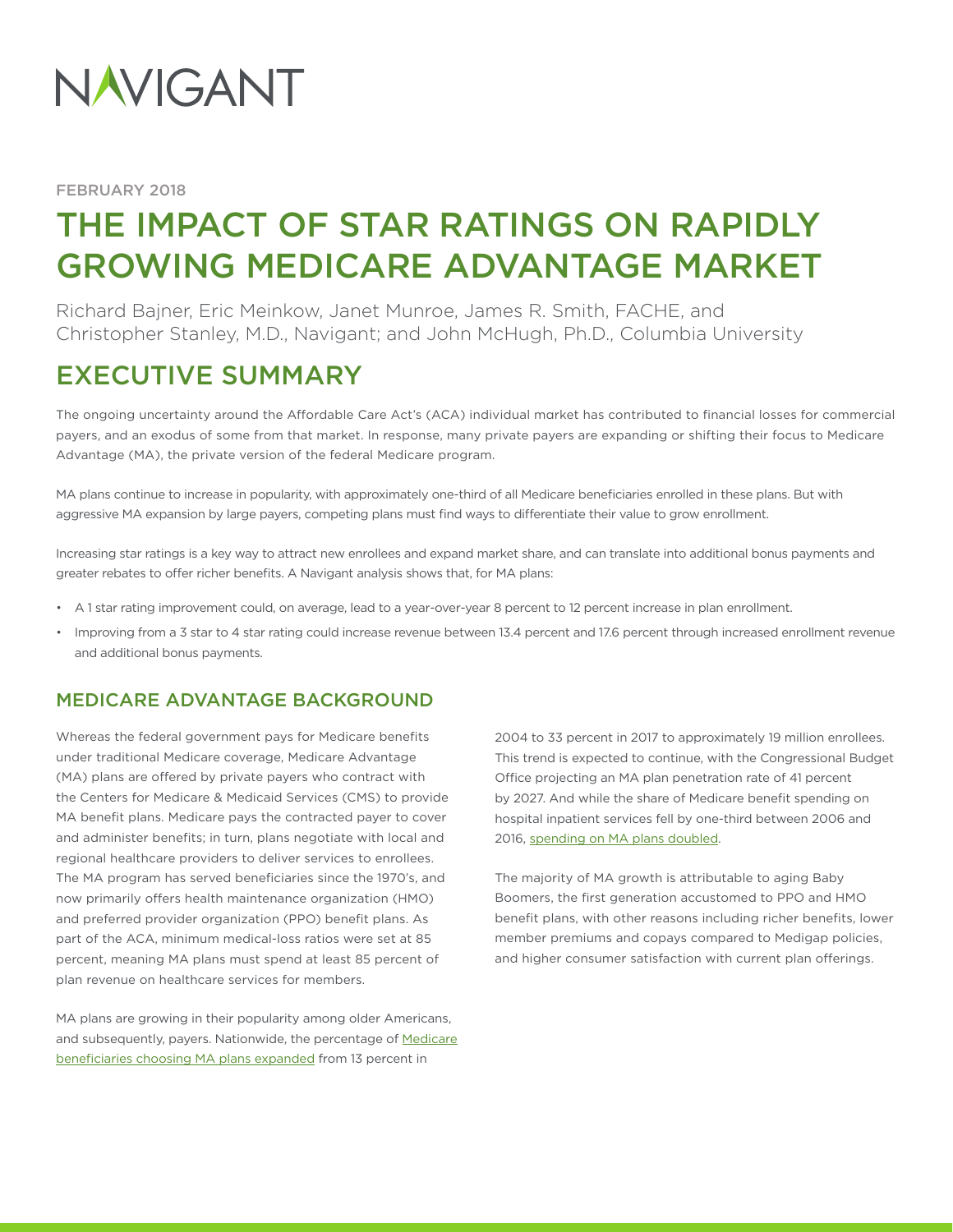

FEBRUARY 2018

# THE IMPACT OF STAR RATINGS ON RAPIDLY GROWING MEDICARE ADVANTAGE MARKET

Richard Bajner, Eric Meinkow, Janet Munroe, James R. Smith, FACHE, and Christopher Stanley, M.D., Navigant; and John McHugh, Ph.D., Columbia University

## EXECUTIVE SUMMARY

The ongoing uncertainty around the Affordable Care Act's (ACA) individual market has contributed to financial losses for commercial payers, and an exodus of some from that market. In response, many private payers are expanding or shifting their focus to Medicare Advantage (MA), the private version of the federal Medicare program.

MA plans continue to increase in popularity, with approximately one-third of all Medicare beneficiaries enrolled in these plans. But with aggressive MA expansion by large payers, competing plans must find ways to differentiate their value to grow enrollment.

Increasing star ratings is a key way to attract new enrollees and expand market share, and can translate into additional bonus payments and greater rebates to offer richer benefits. A Navigant analysis shows that, for MA plans:

- A 1 star rating improvement could, on average, lead to a year-over-year 8 percent to 12 percent increase in plan enrollment.
- Improving from a 3 star to 4 star rating could increase revenue between 13.4 percent and 17.6 percent through increased enrollment revenue and additional bonus payments.

## MEDICARE ADVANTAGE BACKGROUND

Whereas the federal government pays for Medicare benefits under traditional Medicare coverage, Medicare Advantage (MA) plans are offered by private payers who contract with the Centers for Medicare & Medicaid Services (CMS) to provide MA benefit plans. Medicare pays the contracted payer to cover and administer benefits; in turn, plans negotiate with local and regional healthcare providers to deliver services to enrollees. The MA program has served beneficiaries since the 1970's, and now primarily offers health maintenance organization (HMO) and preferred provider organization (PPO) benefit plans. As part of the ACA, minimum medical-loss ratios were set at 85 percent, meaning MA plans must spend at least 85 percent of plan revenue on healthcare services for members.

MA plans are growing in their popularity among older Americans, and subsequently, payers. Nationwide, the percentage of [Medicare](https://www.kff.org/medicare/issue-brief/medicare-advantage-2017-spotlight-enrollment-market-update/)  [beneficiaries choosing MA plans expanded](https://www.kff.org/medicare/issue-brief/medicare-advantage-2017-spotlight-enrollment-market-update/) from 13 percent in

2004 to 33 percent in 2017 to approximately 19 million enrollees. This trend is expected to continue, with the Congressional Budget Office projecting an MA plan penetration rate of 41 percent by 2027. And while the share of Medicare benefit spending on hospital inpatient services fell by one-third between 2006 and 2016, [spending on MA plans doubled.](https://www.kff.org/medicare/issue-brief/the-facts-on-medicare-spending-and-financing/)

The majority of MA growth is attributable to aging Baby Boomers, the first generation accustomed to PPO and HMO benefit plans, with other reasons including richer benefits, lower member premiums and copays compared to Medigap policies, and higher consumer satisfaction with current plan offerings.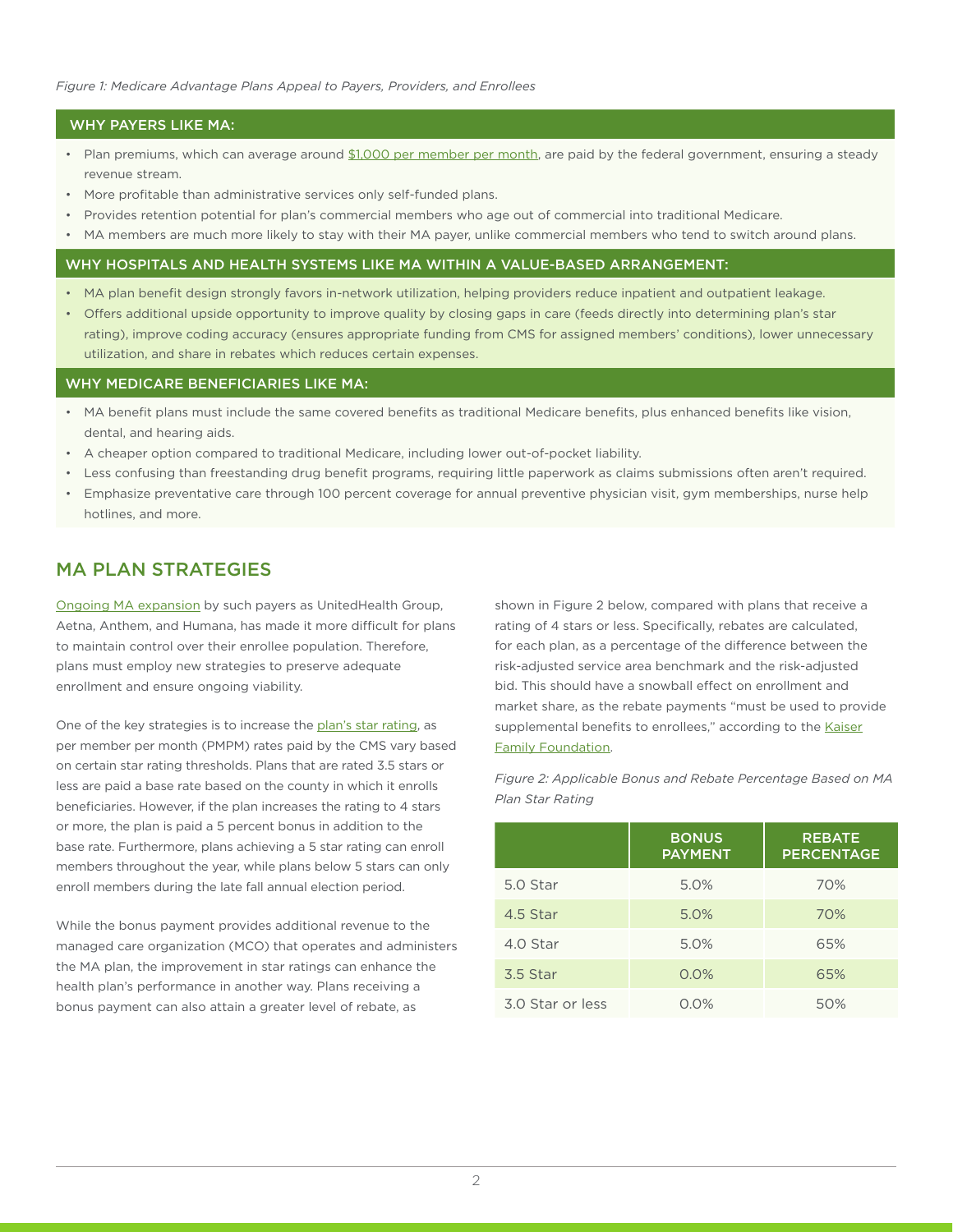#### WHY PAYERS LIKE MA:

- Plan premiums, which can average around [\\$1,000 per member per month,](https://www.bloomberg.com/news/articles/2017-08-04/obamacare-shy-insurers-see-profit-and-growth-in-care-for-seniors) are paid by the federal government, ensuring a steady revenue stream.
- More profitable than administrative services only self-funded plans.
- Provides retention potential for plan's commercial members who age out of commercial into traditional Medicare.
- MA members are much more likely to stay with their MA payer, unlike commercial members who tend to switch around plans.

#### WHY HOSPITALS AND HEALTH SYSTEMS LIKE MA WITHIN A VALUE-BASED ARRANGEMENT:

- MA plan benefit design strongly favors in-network utilization, helping providers reduce inpatient and outpatient leakage.
- Offers additional upside opportunity to improve quality by closing gaps in care (feeds directly into determining plan's star rating), improve coding accuracy (ensures appropriate funding from CMS for assigned members' conditions), lower unnecessary utilization, and share in rebates which reduces certain expenses.

#### WHY MEDICARE BENEFICIARIES LIKE MA:

- MA benefit plans must include the same covered benefits as traditional Medicare benefits, plus enhanced benefits like vision, dental, and hearing aids.
- A cheaper option compared to traditional Medicare, including lower out-of-pocket liability.
- Less confusing than freestanding drug benefit programs, requiring little paperwork as claims submissions often aren't required.
- Emphasize preventative care through 100 percent coverage for annual preventive physician visit, gym memberships, nurse help hotlines, and more.

## MA PLAN STRATEGIES

[Ongoing MA expansion](https://www.forbes.com/sites/brucejapsen/2017/09/20/anthem-to-buy-medicare-advantage-plan-in-lucrative-florida/#234e4ec2622b) by such payers as UnitedHealth Group, Aetna, Anthem, and Humana, has made it more difficult for plans to maintain control over their enrollee population. Therefore, plans must employ new strategies to preserve adequate enrollment and ensure ongoing viability.

One of the key strategies is to increase the [plan's star rating](https://www.cms.gov/Newsroom/MediaReleaseDatabase/Fact-sheets/2016-Fact-sheets-items/2016-10-12.html), as per member per month (PMPM) rates paid by the CMS vary based on certain star rating thresholds. Plans that are rated 3.5 stars or less are paid a base rate based on the county in which it enrolls beneficiaries. However, if the plan increases the rating to 4 stars or more, the plan is paid a 5 percent bonus in addition to the base rate. Furthermore, plans achieving a 5 star rating can enroll members throughout the year, while plans below 5 stars can only enroll members during the late fall annual election period.

While the bonus payment provides additional revenue to the managed care organization (MCO) that operates and administers the MA plan, the improvement in star ratings can enhance the health plan's performance in another way. Plans receiving a bonus payment can also attain a greater level of rebate, as

shown in Figure 2 below, compared with plans that receive a rating of 4 stars or less. Specifically, rebates are calculated, for each plan, as a percentage of the difference between the risk-adjusted service area benchmark and the risk-adjusted bid. This should have a snowball effect on enrollment and market share, as the rebate payments "must be used to provide supplemental benefits to enrollees," according to the [Kaiser](https://www.kff.org/medicare/fact-sheet/medicare-advantage/) [Family Foundation.](https://www.kff.org/medicare/fact-sheet/medicare-advantage/)

*Figure 2: Applicable Bonus and Rebate Percentage Based on MA Plan Star Rating*

|                  | <b>BONUS</b><br><b>PAYMENT</b> | <b>REBATE</b><br><b>PERCENTAGE</b> |
|------------------|--------------------------------|------------------------------------|
| 5.0 Star         | 5.0%                           | 70%                                |
| 4.5 Star         | 5.0%                           | 70%                                |
| 4.0 Star         | 5.0%                           | 65%                                |
| 3.5 Star         | 0.0%                           | 65%                                |
| 3.0 Star or less | $0.0\%$                        | 50%                                |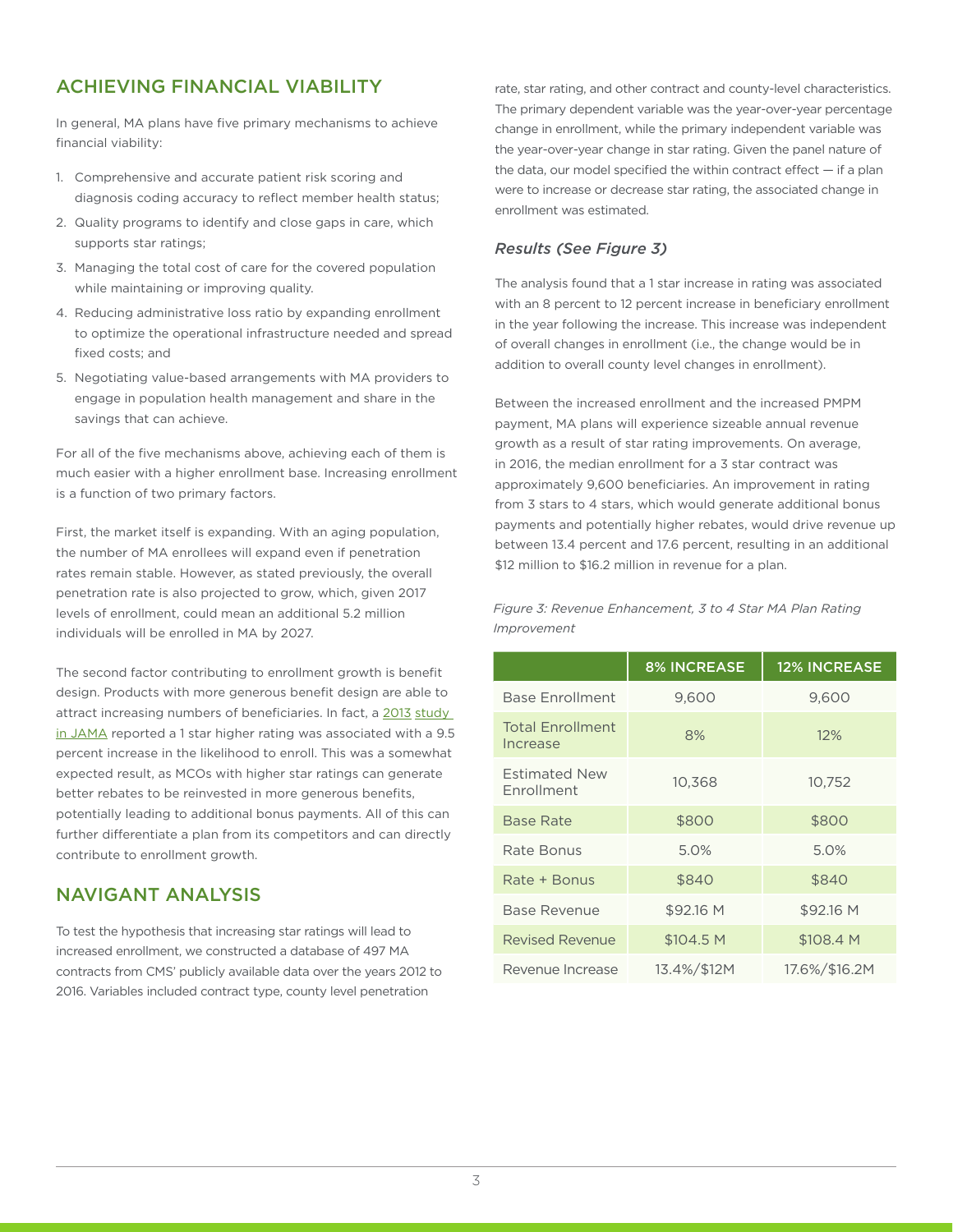## ACHIEVING FINANCIAL VIABILITY

In general, MA plans have five primary mechanisms to achieve financial viability:

- 1. Comprehensive and accurate patient risk scoring and diagnosis coding accuracy to reflect member health status;
- 2. Quality programs to identify and close gaps in care, which supports star ratings;
- 3. Managing the total cost of care for the covered population while maintaining or improving quality.
- 4. Reducing administrative loss ratio by expanding enrollment to optimize the operational infrastructure needed and spread fixed costs; and
- 5. Negotiating value-based arrangements with MA providers to engage in population health management and share in the savings that can achieve.

For all of the five mechanisms above, achieving each of them is much easier with a higher enrollment base. Increasing enrollment is a function of two primary factors.

First, the market itself is expanding. With an aging population, the number of MA enrollees will expand even if penetration rates remain stable. However, as stated previously, the overall penetration rate is also projected to grow, which, given 2017 levels of enrollment, could mean an additional 5.2 million individuals will be enrolled in MA by 2027.

The second factor contributing to enrollment growth is benefit design. Products with more generous benefit design are able to attract increasing numbers of beneficiaries. In fact, a 2013 study [in JAMA](https://jamanetwork.com/journals/jama/fullarticle/1557733) reported a 1 star higher rating was associated with a 9.5 percent increase in the likelihood to enroll. This was a somewhat expected result, as MCOs with higher star ratings can generate better rebates to be reinvested in more generous benefits, potentially leading to additional bonus payments. All of this can further differentiate a plan from its competitors and can directly contribute to enrollment growth.

## NAVIGANT ANALYSIS

To test the hypothesis that increasing star ratings will lead to increased enrollment, we constructed a database of 497 MA contracts from CMS' publicly available data over the years 2012 to 2016. Variables included contract type, county level penetration

rate, star rating, and other contract and county-level characteristics. The primary dependent variable was the year-over-year percentage change in enrollment, while the primary independent variable was the year-over-year change in star rating. Given the panel nature of the data, our model specified the within contract effect  $-$  if a plan were to increase or decrease star rating, the associated change in enrollment was estimated.

### *Results (See Figure 3)*

The analysis found that a 1 star increase in rating was associated with an 8 percent to 12 percent increase in beneficiary enrollment in the year following the increase. This increase was independent of overall changes in enrollment (i.e., the change would be in addition to overall county level changes in enrollment).

Between the increased enrollment and the increased PMPM payment, MA plans will experience sizeable annual revenue growth as a result of star rating improvements. On average, in 2016, the median enrollment for a 3 star contract was approximately 9,600 beneficiaries. An improvement in rating from 3 stars to 4 stars, which would generate additional bonus payments and potentially higher rebates, would drive revenue up between 13.4 percent and 17.6 percent, resulting in an additional \$12 million to \$16.2 million in revenue for a plan.

*Figure 3: Revenue Enhancement, 3 to 4 Star MA Plan Rating Improvement*

|                                     | <b>8% INCREASE</b> | <b>12% INCREASE</b> |
|-------------------------------------|--------------------|---------------------|
| <b>Base Enrollment</b>              | 9,600              | 9,600               |
| <b>Total Enrollment</b><br>Increase | 8%                 | 12%                 |
| <b>Estimated New</b><br>Enrollment  | 10,368             | 10,752              |
| Base Rate                           | \$800              | \$800               |
| Rate Bonus                          | 5.0%               | 5.0%                |
| Rate + Bonus                        | \$840              | \$840               |
| <b>Base Revenue</b>                 | \$92.16 M          | \$92.16 M           |
| <b>Revised Revenue</b>              | \$104.5 M          | \$108.4 M           |
| Revenue Increase                    | 13.4%/\$12M        | 17.6%/\$16.2M       |